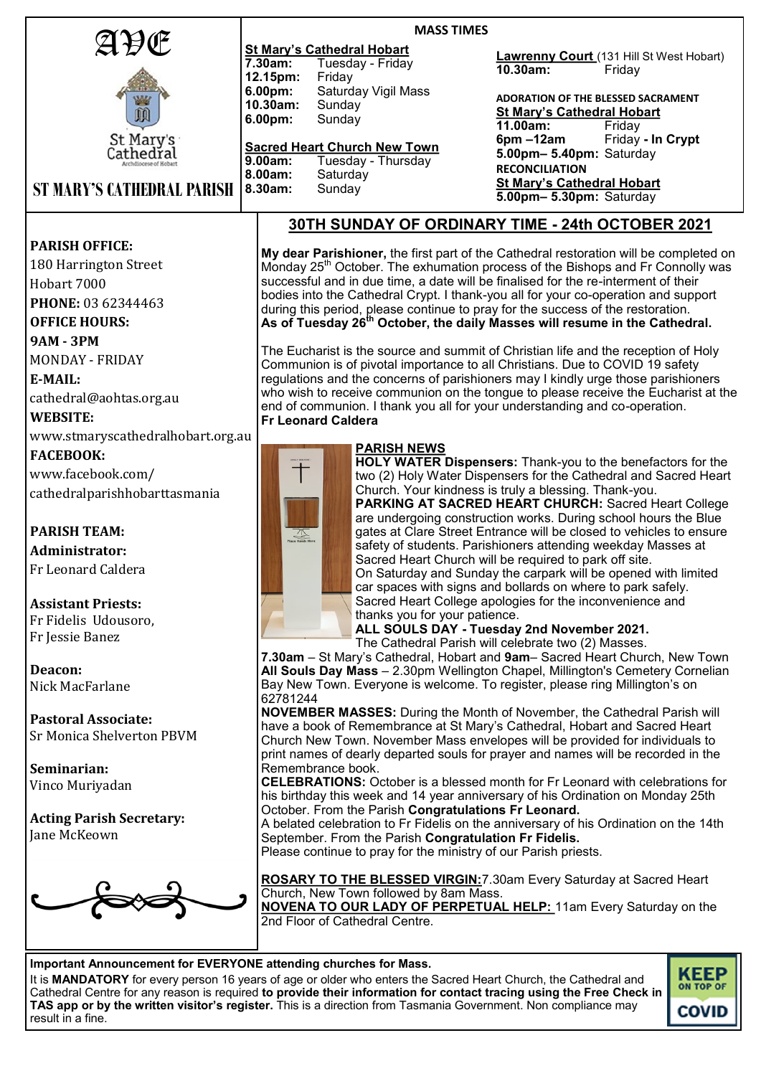|                                                         | <b>MASS TIMES</b>                                                                                                                                                                |                                                                                                                           |  |
|---------------------------------------------------------|----------------------------------------------------------------------------------------------------------------------------------------------------------------------------------|---------------------------------------------------------------------------------------------------------------------------|--|
| AÐŒ                                                     | <b>St Mary's Cathedral Hobart</b>                                                                                                                                                |                                                                                                                           |  |
|                                                         | 7.30am:<br>Tuesday - Friday                                                                                                                                                      | <b>Lawrenny Court</b> (131 Hill St West Hobart)<br>10.30am:<br>Friday                                                     |  |
|                                                         | 12.15pm:<br>Friday                                                                                                                                                               |                                                                                                                           |  |
|                                                         | Saturday Vigil Mass<br>6.00pm:<br>10.30am:                                                                                                                                       | ADORATION OF THE BLESSED SACRAMENT                                                                                        |  |
| 硇                                                       | Sunday<br>6.00pm:<br>Sunday                                                                                                                                                      | <b>St Mary's Cathedral Hobart</b>                                                                                         |  |
|                                                         |                                                                                                                                                                                  | 11.00am:<br>Friday                                                                                                        |  |
| St Mary's<br>Cathedřal                                  | <b>Sacred Heart Church New Town</b>                                                                                                                                              | $6pm - 12am$<br>Friday - In Crypt<br>5.00pm- 5.40pm: Saturday                                                             |  |
|                                                         | 9.00am:<br>Tuesday - Thursday                                                                                                                                                    | <b>RECONCILIATION</b>                                                                                                     |  |
| <b>ST MARY'S CATHEDRAL PARISH</b>                       | 8.00am:<br>Saturday<br>8.30am:<br>Sunday                                                                                                                                         | <b>St Mary's Cathedral Hobart</b>                                                                                         |  |
|                                                         |                                                                                                                                                                                  | 5.00pm- 5.30pm: Saturday                                                                                                  |  |
|                                                         | <b>30TH SUNDAY OF ORDINARY TIME - 24th OCTOBER 2021</b>                                                                                                                          |                                                                                                                           |  |
| <b>PARISH OFFICE:</b>                                   |                                                                                                                                                                                  |                                                                                                                           |  |
|                                                         |                                                                                                                                                                                  | My dear Parishioner, the first part of the Cathedral restoration will be completed on                                     |  |
| 180 Harrington Street                                   | Monday 25 <sup>th</sup> October. The exhumation process of the Bishops and Fr Connolly was<br>successful and in due time, a date will be finalised for the re-interment of their |                                                                                                                           |  |
| Hobart 7000                                             | bodies into the Cathedral Crypt. I thank-you all for your co-operation and support                                                                                               |                                                                                                                           |  |
| PHONE: 03 62344463                                      | during this period, please continue to pray for the success of the restoration.                                                                                                  |                                                                                                                           |  |
| <b>OFFICE HOURS:</b>                                    | As of Tuesday 26 <sup>th</sup> October, the daily Masses will resume in the Cathedral.                                                                                           |                                                                                                                           |  |
| <b>9AM - 3PM</b>                                        |                                                                                                                                                                                  |                                                                                                                           |  |
| <b>MONDAY - FRIDAY</b>                                  | The Eucharist is the source and summit of Christian life and the reception of Holy<br>Communion is of pivotal importance to all Christians. Due to COVID 19 safety               |                                                                                                                           |  |
| E-MAIL:                                                 | regulations and the concerns of parishioners may I kindly urge those parishioners                                                                                                |                                                                                                                           |  |
| cathedral@aohtas.org.au                                 | who wish to receive communion on the tongue to please receive the Eucharist at the                                                                                               |                                                                                                                           |  |
| <b>WEBSITE:</b>                                         | end of communion. I thank you all for your understanding and co-operation.<br><b>Fr Leonard Caldera</b>                                                                          |                                                                                                                           |  |
| www.stmaryscathedralhobart.org.au                       |                                                                                                                                                                                  |                                                                                                                           |  |
| <b>FACEBOOK:</b>                                        | <b>PARISH NEWS</b>                                                                                                                                                               |                                                                                                                           |  |
|                                                         | $\dagger$                                                                                                                                                                        | HOLY WATER Dispensers: Thank-you to the benefactors for the                                                               |  |
| www.facebook.com/                                       |                                                                                                                                                                                  | two (2) Holy Water Dispensers for the Cathedral and Sacred Heart<br>Church. Your kindness is truly a blessing. Thank-you. |  |
| cathedralparishhobarttasmania                           |                                                                                                                                                                                  | PARKING AT SACRED HEART CHURCH: Sacred Heart College                                                                      |  |
|                                                         |                                                                                                                                                                                  | are undergoing construction works. During school hours the Blue                                                           |  |
| <b>PARISH TEAM:</b>                                     | $\frac{\sqrt{\frac{1}{2}}}{\text{Place Hands H}}$                                                                                                                                | gates at Clare Street Entrance will be closed to vehicles to ensure                                                       |  |
| <b>Administrator:</b>                                   |                                                                                                                                                                                  | safety of students. Parishioners attending weekday Masses at<br>Sacred Heart Church will be required to park off site.    |  |
| Fr Leonard Caldera                                      |                                                                                                                                                                                  | On Saturday and Sunday the carpark will be opened with limited                                                            |  |
|                                                         |                                                                                                                                                                                  | car spaces with signs and bollards on where to park safely.                                                               |  |
| <b>Assistant Priests:</b>                               |                                                                                                                                                                                  | Sacred Heart College apologies for the inconvenience and                                                                  |  |
| Fr Fidelis Udousoro,                                    | thanks you for your patience.                                                                                                                                                    | ALL SOULS DAY - Tuesday 2nd November 2021.                                                                                |  |
| Fr Jessie Banez                                         |                                                                                                                                                                                  | The Cathedral Parish will celebrate two (2) Masses.                                                                       |  |
|                                                         |                                                                                                                                                                                  | 7.30am – St Mary's Cathedral, Hobart and 9am– Sacred Heart Church, New Town                                               |  |
| Deacon:                                                 |                                                                                                                                                                                  | All Souls Day Mass - 2.30pm Wellington Chapel, Millington's Cemetery Cornelian                                            |  |
| Nick MacFarlane                                         | Bay New Town. Everyone is welcome. To register, please ring Millington's on<br>62781244                                                                                          |                                                                                                                           |  |
|                                                         | <b>NOVEMBER MASSES:</b> During the Month of November, the Cathedral Parish will                                                                                                  |                                                                                                                           |  |
| <b>Pastoral Associate:</b><br>Sr Monica Shelverton PBVM | have a book of Remembrance at St Mary's Cathedral, Hobart and Sacred Heart                                                                                                       |                                                                                                                           |  |
|                                                         | Church New Town. November Mass envelopes will be provided for individuals to                                                                                                     |                                                                                                                           |  |
| Seminarian:                                             | print names of dearly departed souls for prayer and names will be recorded in the<br>Remembrance book.                                                                           |                                                                                                                           |  |

**Seminarian:** Vinco Muriyadan

**Acting Parish Secretary:**  Jane McKeown



**ROSARY TO THE BLESSED VIRGIN:**7.30am Every Saturday at Sacred Heart Church, New Town followed by 8am Mass. **NOVENA TO OUR LADY OF PERPETUAL HELP:** 11am Every Saturday on the 2nd Floor of Cathedral Centre.

**CELEBRATIONS:** October is a blessed month for Fr Leonard with celebrations for his birthday this week and 14 year anniversary of his Ordination on Monday 25th

A belated celebration to Fr Fidelis on the anniversary of his Ordination on the 14th

October. From the Parish **Congratulations Fr Leonard.**

September. From the Parish **Congratulation Fr Fidelis.**  Please continue to pray for the ministry of our Parish priests.

**Important Announcement for EVERYONE attending churches for Mass.**

It is **MANDATORY** for every person 16 years of age or older who enters the Sacred Heart Church, the Cathedral and Cathedral Centre for any reason is required **to provide their information for contact tracing using the Free [Check in](https://coronavirus.tas.gov.au/check-in-tas)  [TAS app](https://coronavirus.tas.gov.au/check-in-tas) or by the written visitor's register.** This is a direction from Tasmania Government. Non compliance may result in a fine.

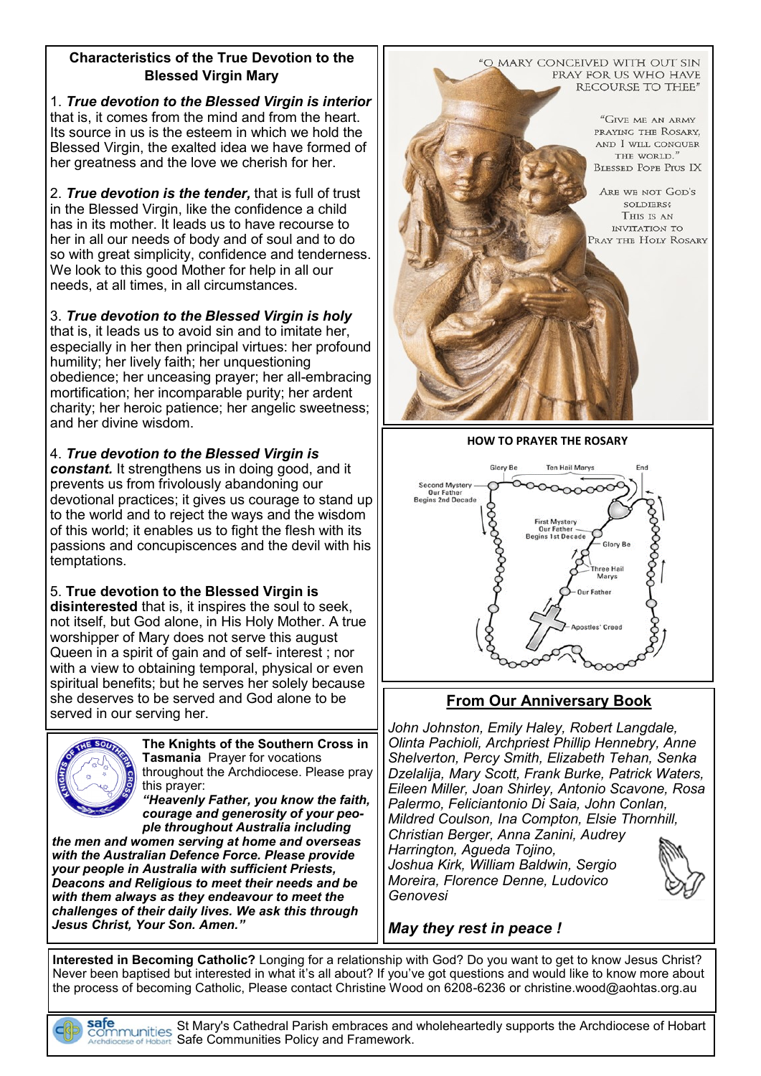### **Characteristics of the True Devotion to the Blessed Virgin Mary**

1. *True devotion to the Blessed Virgin is interior*  that is, it comes from the mind and from the heart. Its source in us is the esteem in which we hold the Blessed Virgin, the exalted idea we have formed of her greatness and the love we cherish for her.

2. *True devotion is the tender,* that is full of trust in the Blessed Virgin, like the confidence a child has in its mother. It leads us to have recourse to her in all our needs of body and of soul and to do so with great simplicity, confidence and tenderness. We look to this good Mother for help in all our needs, at all times, in all circumstances.

3. *True devotion to the Blessed Virgin is holy*  that is, it leads us to avoid sin and to imitate her, especially in her then principal virtues: her profound humility; her lively faith; her unquestioning obedience; her unceasing prayer; her all-embracing mortification; her incomparable purity; her ardent charity; her heroic patience; her angelic sweetness; and her divine wisdom.

4. *True devotion to the Blessed Virgin is constant.* It strengthens us in doing good, and it prevents us from frivolously abandoning our devotional practices; it gives us courage to stand up to the world and to reject the ways and the wisdom of this world; it enables us to fight the flesh with its passions and concupiscences and the devil with his temptations.

5. **True devotion to the Blessed Virgin is disinterested** that is, it inspires the soul to seek, not itself, but God alone, in His Holy Mother. A true worshipper of Mary does not serve this august Queen in a spirit of gain and of self- interest ; nor with a view to obtaining temporal, physical or even spiritual benefits; but he serves her solely because she deserves to be served and God alone to be served in our serving her.



**The Knights of the Southern Cross in Tasmania** Prayer for vocations throughout the Archdiocese. Please pray this prayer:

*"Heavenly Father, you know the faith, courage and generosity of your people throughout Australia including* 

*the men and women serving at home and overseas with the Australian Defence Force. Please provide your people in Australia with sufficient Priests, Deacons and Religious to meet their needs and be with them always as they endeavour to meet the challenges of their daily lives. We ask this through Jesus Christ, Your Son. Amen."*



**HOW TO PRAYER THE ROSARY**



# **From Our Anniversary Book**

*John Johnston, Emily Haley, Robert Langdale, Olinta Pachioli, Archpriest Phillip Hennebry, Anne Shelverton, Percy Smith, Elizabeth Tehan, Senka Dzelalija, Mary Scott, Frank Burke, Patrick Waters, Eileen Miller, Joan Shirley, Antonio Scavone, Rosa Palermo, Feliciantonio Di Saia, John Conlan, Mildred Coulson, Ina Compton, Elsie Thornhill, Christian Berger, Anna Zanini, Audrey Harrington, Agueda Tojino, Joshua Kirk, William Baldwin, Sergio Moreira, Florence Denne, Ludovico Genovesi*

*May they rest in peace !*

**Interested in Becoming Catholic?** Longing for a relationship with God? Do you want to get to know Jesus Christ? Never been baptised but interested in what it's all about? If you've got questions and would like to know more about the process of becoming Catholic, Please contact Christine Wood on 6208-6236 or christine.wood@aohtas.org.au

St Mary's Cathedral Parish embraces and wholeheartedly supports the Archdiocese of Hobart Safe Communities Policy and Framework.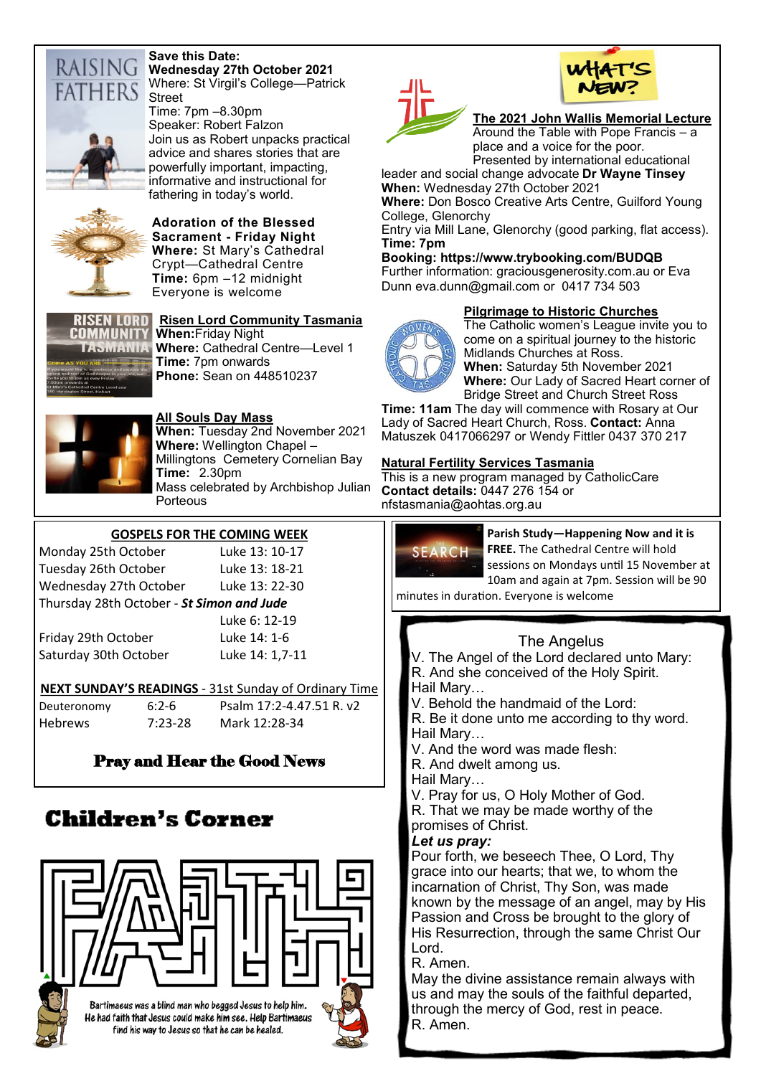

### **Save this Date: Wednesday 27th October 2021**

Where: St Virgil's College—Patrick



Time: 7pm –8.30pm Speaker: Robert Falzon Join us as Robert unpacks practical advice and shares stories that are powerfully important, impacting, informative and instructional for fathering in today's world.



**Adoration of the Blessed Sacrament - Friday Night Where:** St Mary's Cathedral Crypt—Cathedral Centre **Time:** 6pm –12 midnight Everyone is welcome



**Risen Lord Community Tasmania When:**Friday Night **Where:** Cathedral Centre—Level 1 **Time:** 7pm onwards **Phone:** Sean on 448510237



# **All Souls Day Mass**

**When:** Tuesday 2nd November 2021 **Where:** Wellington Chapel – Millingtons Cemetery Cornelian Bay **Time:** 2.30pm Mass celebrated by Archbishop Julian Porteous

### **GOSPELS FOR THE COMING WEEK**

Monday 25th October Luke 13: 10-17 Tuesday 26th October Luke 13: 18-21 Wednesday 27th October Luke 13: 22-30 Thursday 28th October - *St Simon and Jude*

Friday 29th October Luke 14: 1-6 Saturday 30th October Luke 14: 1,7-11

Luke 6: 12-19

# **NEXT SUNDAY'S READINGS** - 31st Sunday of Ordinary Time

Deuteronomy 6:2-6 [Psalm 17:2](https://www.liturgyhelp.com/ritual/lectionary/LectionaryListPsalm%7Cpsm)-4.47.51 R. v2 Hebrews 7:23-28 Mark 12:28-34

# Pray and Hear the Good News

# Children's Corner



Bartimaeus was a blind man who begged Jesus to help him. He had faith that Jesus could make him see. Help Bartimaeus find his way to Jesus so that he can be healed.





### **The 2021 John Wallis Memorial Lecture**

Around the Table with Pope Francis – a place and a voice for the poor. Presented by international educational

leader and social change advocate **Dr Wayne Tinsey When:** Wednesday 27th October 2021

**Where:** Don Bosco Creative Arts Centre, Guilford Young College, Glenorchy

Entry via Mill Lane, Glenorchy (good parking, flat access). **Time: 7pm**

### **Booking: https://www.trybooking.com/BUDQB** Further information: graciousgenerosity.com.au or Eva Dunn eva.dunn@gmail.com or 0417 734 503

### **Pilgrimage to Historic Churches**



The Catholic women's League invite you to come on a spiritual journey to the historic Midlands Churches at Ross. **When:** Saturday 5th November 2021

**Where:** Our Lady of Sacred Heart corner of Bridge Street and Church Street Ross

**Time: 11am** The day will commence with Rosary at Our Lady of Sacred Heart Church, Ross. **Contact:** Anna Matuszek 0417066297 or Wendy Fittler 0437 370 217

### **Natural Fertility Services Tasmania**

This is a new program managed by CatholicCare **Contact details:** 0447 276 154 or nfstasmania@aohtas.org.au



**Parish Study—Happening Now and it is** 

**FREE.** The Cathedral Centre will hold sessions on Mondays until 15 November at

10am and again at 7pm. Session will be 90 minutes in duration. Everyone is welcome

# The Angelus

V. The Angel of the Lord declared unto Mary: R. And she conceived of the Holy Spirit. Hail Mary…

V. Behold the handmaid of the Lord:

R. Be it done unto me according to thy word. Hail Mary…

V. And the word was made flesh:

R. And dwelt among us.

Hail Mary…

V. Pray for us, O Holy Mother of God. R. That we may be made worthy of the promises of Christ.

### *Let us pray:*

Pour forth, we beseech Thee, O Lord, Thy grace into our hearts; that we, to whom the incarnation of Christ, Thy Son, was made known by the message of an angel, may by His Passion and Cross be brought to the glory of His Resurrection, through the same Christ Our Lord.

R. Amen.

May the divine assistance remain always with us and may the souls of the faithful departed, through the mercy of God, rest in peace. R. Amen.